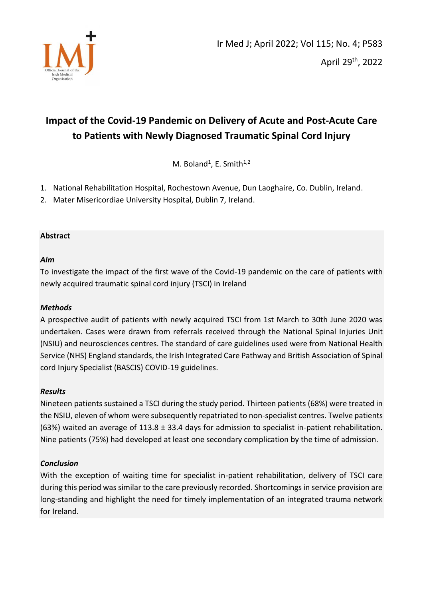

# **Impact of the Covid-19 Pandemic on Delivery of Acute and Post-Acute Care to Patients with Newly Diagnosed Traumatic Spinal Cord Injury**

M. Boland<sup>1</sup>, E. Smith $1,2$ 

- 1. National Rehabilitation Hospital, Rochestown Avenue, Dun Laoghaire, Co. Dublin, Ireland.
- 2. Mater Misericordiae University Hospital, Dublin 7, Ireland.

# **Abstract**

# *Aim*

To investigate the impact of the first wave of the Covid-19 pandemic on the care of patients with newly acquired traumatic spinal cord injury (TSCI) in Ireland

## *Methods*

A prospective audit of patients with newly acquired TSCI from 1st March to 30th June 2020 was undertaken. Cases were drawn from referrals received through the National Spinal Injuries Unit (NSIU) and neurosciences centres. The standard of care guidelines used were from National Health Service (NHS) England standards, the Irish Integrated Care Pathway and British Association of Spinal cord Injury Specialist (BASCIS) COVID-19 guidelines.

## *Results*

Nineteen patients sustained a TSCI during the study period. Thirteen patients (68%) were treated in the NSIU, eleven of whom were subsequently repatriated to non-specialist centres. Twelve patients (63%) waited an average of 113.8 ± 33.4 days for admission to specialist in-patient rehabilitation. Nine patients (75%) had developed at least one secondary complication by the time of admission.

## *Conclusion*

With the exception of waiting time for specialist in-patient rehabilitation, delivery of TSCI care during this period was similar to the care previously recorded. Shortcomings in service provision are long-standing and highlight the need for timely implementation of an integrated trauma network for Ireland.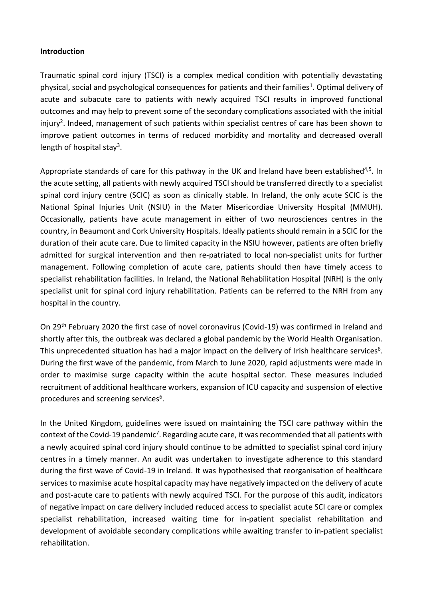#### **Introduction**

Traumatic spinal cord injury (TSCI) is a complex medical condition with potentially devastating physical, social and psychological consequences for patients and their families<sup>1</sup>. Optimal delivery of acute and subacute care to patients with newly acquired TSCI results in improved functional outcomes and may help to prevent some of the secondary complications associated with the initial injury<sup>2</sup>. Indeed, management of such patients within specialist centres of care has been shown to improve patient outcomes in terms of reduced morbidity and mortality and decreased overall length of hospital stay<sup>3</sup>.

Appropriate standards of care for this pathway in the UK and Ireland have been established<sup>4,5</sup>. In the acute setting, all patients with newly acquired TSCI should be transferred directly to a specialist spinal cord injury centre (SCIC) as soon as clinically stable. In Ireland, the only acute SCIC is the National Spinal Injuries Unit (NSIU) in the Mater Misericordiae University Hospital (MMUH). Occasionally, patients have acute management in either of two neurosciences centres in the country, in Beaumont and Cork University Hospitals. Ideally patients should remain in a SCIC for the duration of their acute care. Due to limited capacity in the NSIU however, patients are often briefly admitted for surgical intervention and then re-patriated to local non-specialist units for further management. Following completion of acute care, patients should then have timely access to specialist rehabilitation facilities. In Ireland, the National Rehabilitation Hospital (NRH) is the only specialist unit for spinal cord injury rehabilitation. Patients can be referred to the NRH from any hospital in the country.

On 29th February 2020 the first case of novel coronavirus (Covid-19) was confirmed in Ireland and shortly after this, the outbreak was declared a global pandemic by the World Health Organisation. This unprecedented situation has had a major impact on the delivery of Irish healthcare services<sup>6</sup>. During the first wave of the pandemic, from March to June 2020, rapid adjustments were made in order to maximise surge capacity within the acute hospital sector. These measures included recruitment of additional healthcare workers, expansion of ICU capacity and suspension of elective procedures and screening services<sup>6</sup>.

In the United Kingdom, guidelines were issued on maintaining the TSCI care pathway within the context of the Covid-19 pandemic<sup>7</sup>. Regarding acute care, it was recommended that all patients with a newly acquired spinal cord injury should continue to be admitted to specialist spinal cord injury centres in a timely manner. An audit was undertaken to investigate adherence to this standard during the first wave of Covid-19 in Ireland. It was hypothesised that reorganisation of healthcare services to maximise acute hospital capacity may have negatively impacted on the delivery of acute and post-acute care to patients with newly acquired TSCI. For the purpose of this audit, indicators of negative impact on care delivery included reduced access to specialist acute SCI care or complex specialist rehabilitation, increased waiting time for in-patient specialist rehabilitation and development of avoidable secondary complications while awaiting transfer to in-patient specialist rehabilitation.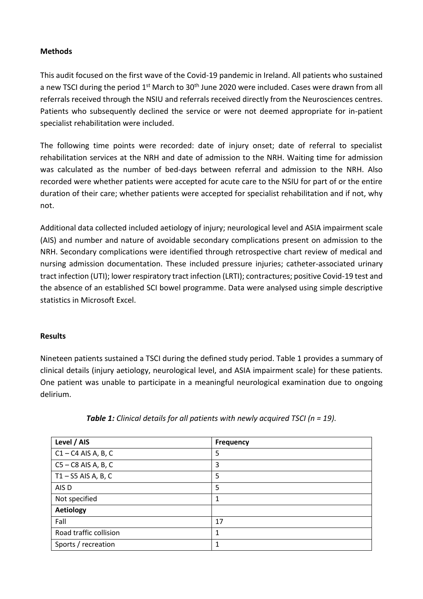#### **Methods**

This audit focused on the first wave of the Covid-19 pandemic in Ireland. All patients who sustained a new TSCI during the period 1<sup>st</sup> March to 30<sup>th</sup> June 2020 were included. Cases were drawn from all referrals received through the NSIU and referrals received directly from the Neurosciences centres. Patients who subsequently declined the service or were not deemed appropriate for in-patient specialist rehabilitation were included.

The following time points were recorded: date of injury onset; date of referral to specialist rehabilitation services at the NRH and date of admission to the NRH. Waiting time for admission was calculated as the number of bed-days between referral and admission to the NRH. Also recorded were whether patients were accepted for acute care to the NSIU for part of or the entire duration of their care; whether patients were accepted for specialist rehabilitation and if not, why not.

Additional data collected included aetiology of injury; neurological level and ASIA impairment scale (AIS) and number and nature of avoidable secondary complications present on admission to the NRH. Secondary complications were identified through retrospective chart review of medical and nursing admission documentation. These included pressure injuries; catheter-associated urinary tract infection (UTI); lower respiratory tract infection (LRTI); contractures; positive Covid-19 test and the absence of an established SCI bowel programme. Data were analysed using simple descriptive statistics in Microsoft Excel.

#### **Results**

Nineteen patients sustained a TSCI during the defined study period. Table 1 provides a summary of clinical details (injury aetiology, neurological level, and ASIA impairment scale) for these patients. One patient was unable to participate in a meaningful neurological examination due to ongoing delirium.

| Level / AIS            | <b>Frequency</b> |
|------------------------|------------------|
| $C1 - C4$ AIS A, B, C  | 5                |
| $CS - CS$ AIS A, B, C  | 3                |
| $T1 - S5$ AIS A, B, C  | 5                |
| AIS D                  | 5                |
| Not specified          | 1                |
| <b>Aetiology</b>       |                  |
| Fall                   | 17               |
| Road traffic collision | 1                |
| Sports / recreation    | 1                |

*Table 1: Clinical details for all patients with newly acquired TSCI (n = 19).*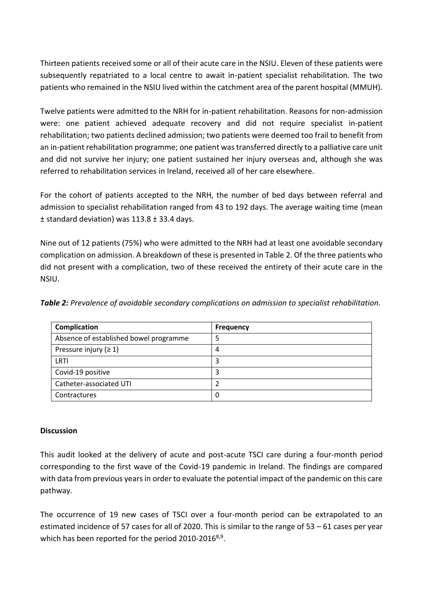Thirteen patients received some or all of their acute care in the NSIU. Eleven of these patients were subsequently repatriated to a local centre to await in-patient specialist rehabilitation. The two patients who remained in the NSIU lived within the catchment area of the parent hospital (MMUH).

Twelve patients were admitted to the NRH for in-patient rehabilitation. Reasons for non-admission were: one patient achieved adequate recovery and did not require specialist in-patient rehabilitation; two patients declined admission; two patients were deemed too frail to benefit from an in-patient rehabilitation programme; one patient was transferred directly to a palliative care unit and did not survive her injury; one patient sustained her injury overseas and, although she was referred to rehabilitation services in Ireland, received all of her care elsewhere.

For the cohort of patients accepted to the NRH, the number of bed days between referral and admission to specialist rehabilitation ranged from 43 to 192 days. The average waiting time (mean ± standard deviation) was 113.8 ± 33.4 days.

Nine out of 12 patients (75%) who were admitted to the NRH had at least one avoidable secondary complication on admission. A breakdown of these is presented in Table 2. Of the three patients who did not present with a complication, two of these received the entirety of their acute care in the NSIU.

*Table 2: Prevalence of avoidable secondary complications on admission to specialist rehabilitation.* 

| Complication                           | <b>Frequency</b> |
|----------------------------------------|------------------|
| Absence of established bowel programme |                  |
| Pressure injury ( $\geq 1$ )           | 4                |
| LRTI                                   | 3                |
| Covid-19 positive                      |                  |
| Catheter-associated UTI                |                  |
| Contractures                           | 0                |

#### **Discussion**

This audit looked at the delivery of acute and post-acute TSCI care during a four-month period corresponding to the first wave of the Covid-19 pandemic in Ireland. The findings are compared with data from previous years in order to evaluate the potential impact of the pandemic on this care pathway.

The occurrence of 19 new cases of TSCI over a four-month period can be extrapolated to an estimated incidence of 57 cases for all of 2020. This is similar to the range of 53 – 61 cases per year which has been reported for the period 2010-2016<sup>8,9</sup>.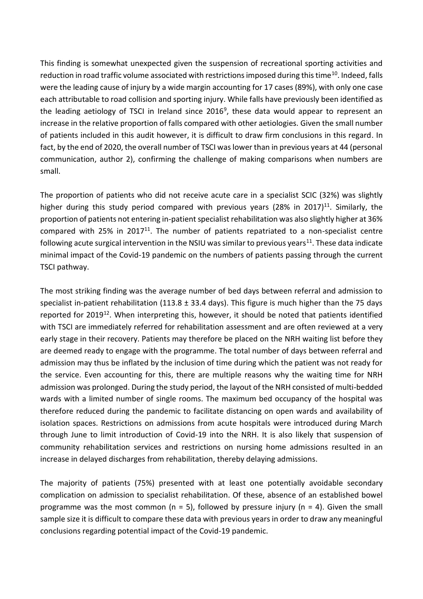This finding is somewhat unexpected given the suspension of recreational sporting activities and reduction in road traffic volume associated with restrictions imposed during this time<sup>10</sup>. Indeed, falls were the leading cause of injury by a wide margin accounting for 17 cases (89%), with only one case each attributable to road collision and sporting injury. While falls have previously been identified as the leading aetiology of TSCI in Ireland since 2016<sup>9</sup>, these data would appear to represent an increase in the relative proportion of falls compared with other aetiologies. Given the small number of patients included in this audit however, it is difficult to draw firm conclusions in this regard. In fact, by the end of 2020, the overall number of TSCI was lower than in previous years at 44 (personal communication, author 2), confirming the challenge of making comparisons when numbers are small.

The proportion of patients who did not receive acute care in a specialist SCIC (32%) was slightly higher during this study period compared with previous years (28% in 2017)<sup>11</sup>. Similarly, the proportion of patients not entering in-patient specialist rehabilitation was also slightly higher at 36% compared with 25% in 2017 $^{11}$ . The number of patients repatriated to a non-specialist centre following acute surgical intervention in the NSIU was similar to previous years<sup>11</sup>. These data indicate minimal impact of the Covid-19 pandemic on the numbers of patients passing through the current TSCI pathway.

The most striking finding was the average number of bed days between referral and admission to specialist in-patient rehabilitation (113.8  $\pm$  33.4 days). This figure is much higher than the 75 days reported for  $2019^{12}$ . When interpreting this, however, it should be noted that patients identified with TSCI are immediately referred for rehabilitation assessment and are often reviewed at a very early stage in their recovery. Patients may therefore be placed on the NRH waiting list before they are deemed ready to engage with the programme. The total number of days between referral and admission may thus be inflated by the inclusion of time during which the patient was not ready for the service. Even accounting for this, there are multiple reasons why the waiting time for NRH admission was prolonged. During the study period, the layout of the NRH consisted of multi-bedded wards with a limited number of single rooms. The maximum bed occupancy of the hospital was therefore reduced during the pandemic to facilitate distancing on open wards and availability of isolation spaces. Restrictions on admissions from acute hospitals were introduced during March through June to limit introduction of Covid-19 into the NRH. It is also likely that suspension of community rehabilitation services and restrictions on nursing home admissions resulted in an increase in delayed discharges from rehabilitation, thereby delaying admissions.

The majority of patients (75%) presented with at least one potentially avoidable secondary complication on admission to specialist rehabilitation. Of these, absence of an established bowel programme was the most common ( $n = 5$ ), followed by pressure injury ( $n = 4$ ). Given the small sample size it is difficult to compare these data with previous years in order to draw any meaningful conclusions regarding potential impact of the Covid-19 pandemic.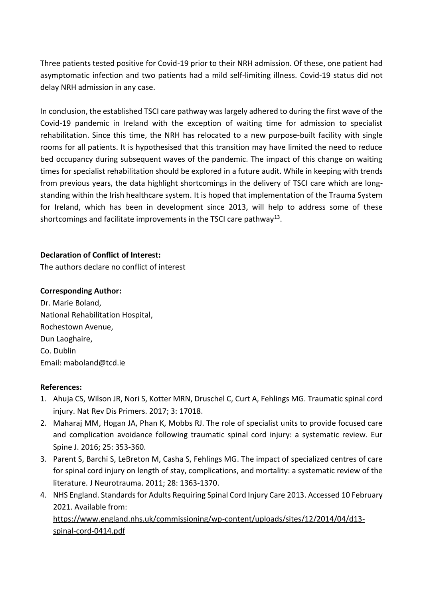Three patients tested positive for Covid-19 prior to their NRH admission. Of these, one patient had asymptomatic infection and two patients had a mild self-limiting illness. Covid-19 status did not delay NRH admission in any case.

In conclusion, the established TSCI care pathway was largely adhered to during the first wave of the Covid-19 pandemic in Ireland with the exception of waiting time for admission to specialist rehabilitation. Since this time, the NRH has relocated to a new purpose-built facility with single rooms for all patients. It is hypothesised that this transition may have limited the need to reduce bed occupancy during subsequent waves of the pandemic. The impact of this change on waiting times for specialist rehabilitation should be explored in a future audit. While in keeping with trends from previous years, the data highlight shortcomings in the delivery of TSCI care which are longstanding within the Irish healthcare system. It is hoped that implementation of the Trauma System for Ireland, which has been in development since 2013, will help to address some of these shortcomings and facilitate improvements in the TSCI care pathway<sup>13</sup>.

## **Declaration of Conflict of Interest:**

The authors declare no conflict of interest

# **Corresponding Author:**

Dr. Marie Boland, National Rehabilitation Hospital, Rochestown Avenue, Dun Laoghaire, Co. Dublin Email: maboland@tcd.ie

## **References:**

- 1. Ahuja CS, Wilson JR, Nori S, Kotter MRN, Druschel C, Curt A, Fehlings MG. Traumatic spinal cord injury. Nat Rev Dis Primers. 2017; 3: 17018.
- 2. Maharaj MM, Hogan JA, Phan K, Mobbs RJ. The role of specialist units to provide focused care and complication avoidance following traumatic spinal cord injury: a systematic review. Eur Spine J. 2016; 25: 353-360.
- 3. Parent S, Barchi S, LeBreton M, Casha S, Fehlings MG. The impact of specialized centres of care for spinal cord injury on length of stay, complications, and mortality: a systematic review of the literature. J Neurotrauma. 2011; 28: 1363-1370.
- 4. NHS England. Standards for Adults Requiring Spinal Cord Injury Care 2013. Accessed 10 February 2021. Available from:

[https://www.england.nhs.uk/commissioning/wp-content/uploads/sites/12/2014/04/d13](https://www.england.nhs.uk/commissioning/wp-content/uploads/sites/12/2014/04/d13-spinal-cord-0414.pdf) [spinal-cord-0414.pdf](https://www.england.nhs.uk/commissioning/wp-content/uploads/sites/12/2014/04/d13-spinal-cord-0414.pdf)